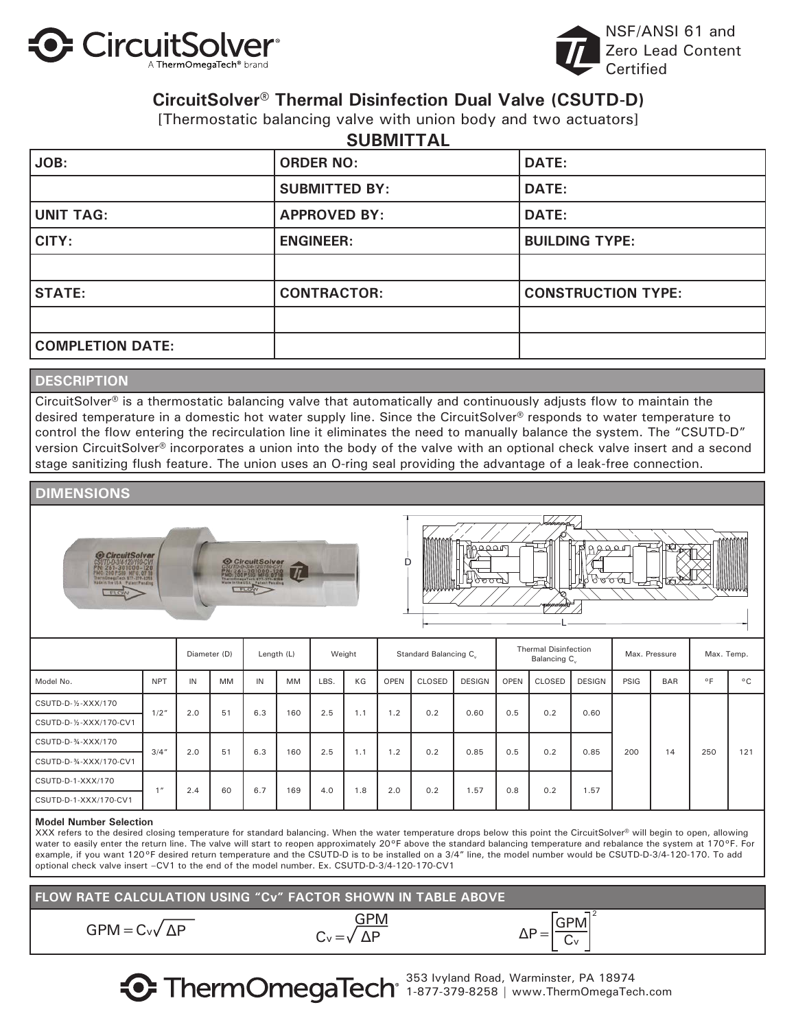



### **CircuitSolver® Thermal Disinfection Dual Valve (CSUTD-D)**

[Thermostatic balancing valve with union body and two actuators]

| JOB:                    | <b>SUBMITTAL</b><br><b>ORDER NO:</b> | <b>DATE:</b>              |
|-------------------------|--------------------------------------|---------------------------|
|                         | <b>SUBMITTED BY:</b>                 | <b>DATE:</b>              |
| <b>UNIT TAG:</b>        | <b>APPROVED BY:</b>                  | <b>DATE:</b>              |
| CITY:                   | <b>ENGINEER:</b>                     | <b>BUILDING TYPE:</b>     |
|                         |                                      |                           |
| <b>STATE:</b>           | <b>CONTRACTOR:</b>                   | <b>CONSTRUCTION TYPE:</b> |
|                         |                                      |                           |
| <b>COMPLETION DATE:</b> |                                      |                           |

### **DESCRIPTION**

CircuitSolver<sup>®</sup> is a thermostatic balancing valve that automatically and continuously adjusts flow to maintain the desired temperature in a domestic hot water supply line. Since the CircuitSolver® responds to water temperature to control the flow entering the recirculation line it eliminates the need to manually balance the system. The "CSUTD-D" version CircuitSolver® incorporates a union into the body of the valve with an optional check valve insert and a second stage sanitizing flush feature. The union uses an O-ring seal providing the advantage of a leak-free connection.

### **DIMENSIONS**





|                         |            | Diameter (D) |           |     | Length (L) |      | Weight |             | Standard Balancing C. |               |             | <b>Thermal Disinfection</b><br>Balancing C |               |      | Max. Pressure | Max. Temp.     |              |
|-------------------------|------------|--------------|-----------|-----|------------|------|--------|-------------|-----------------------|---------------|-------------|--------------------------------------------|---------------|------|---------------|----------------|--------------|
| Model No.               | <b>NPT</b> | IN           | MM        | IN  | <b>MM</b>  | LBS. | KG     | <b>OPEN</b> | CLOSED                | <b>DESIGN</b> | <b>OPEN</b> | CLOSED                                     | <b>DESIGN</b> | PSIG | <b>BAR</b>    | $\circ$ $\Box$ | $^{\circ}$ C |
| CSUTD-D-1/2-XXX/170     | 1/2"       | 2.0          | 51        | 6.3 | 160        | 2.5  | 1.1    | 1.2         | 0.2                   | 0.60          | 0.5         | 0.2                                        | 0.60          | 200  | 14            | 250            | 121          |
| CSUTD-D-1/2-XXX/170-CV1 |            |              |           |     |            |      |        |             |                       |               |             |                                            |               |      |               |                |              |
| CSUTD-D-34-XXX/170      | 3/4''      | 2.0          | 51        | 6.3 | 160        | 2.5  | 1.1    | 1.2         | 0.2                   | 0.85          | 0.5         | 0.2                                        | 0.85          |      |               |                |              |
| CSUTD-D-34-XXX/170-CV1  |            |              |           |     |            |      |        |             |                       |               |             |                                            |               |      |               |                |              |
| CSUTD-D-1-XXX/170       | $1$ $\pi$  |              | 2.4<br>60 | 6.7 | 169        | 4.0  | 1.8    | 2.0         | 0.2                   | 1.57          | 0.8         | 0.2                                        | 1.57          |      |               |                |              |
| CSUTD-D-1-XXX/170-CV1   |            |              |           |     |            |      |        |             |                       |               |             |                                            |               |      |               |                |              |

#### **Model Number Selection**

XXX refers to the desired closing temperature for standard balancing. When the water temperature drops below this point the CircuitSolver® will begin to open, allowing water to easily enter the return line. The valve will start to reopen approximately 20°F above the standard balancing temperature and rebalance the system at 170°F. For example, if you want 120°F desired return temperature and the CSUTD-D is to be installed on a 3/4" line, the model number would be CSUTD-D-3/4-120-170. To add optional check valve insert –CV1 to the end of the model number. Ex. CSUTD-D-3/4-120-170-CV1

**FLOW RATE CALCULATION USING "Cv" FACTOR SHOWN IN TABLE ABOVE**

 $GPM = C_v\sqrt{\Delta P}$   $C_v = \sqrt{\Delta P}$   $\Delta P = \frac{GPM}{C_v}$ 



2

353 Ivyland Road, Warminster, PA 18974 1-877-379-8258 | www.ThermOmegaTech.com